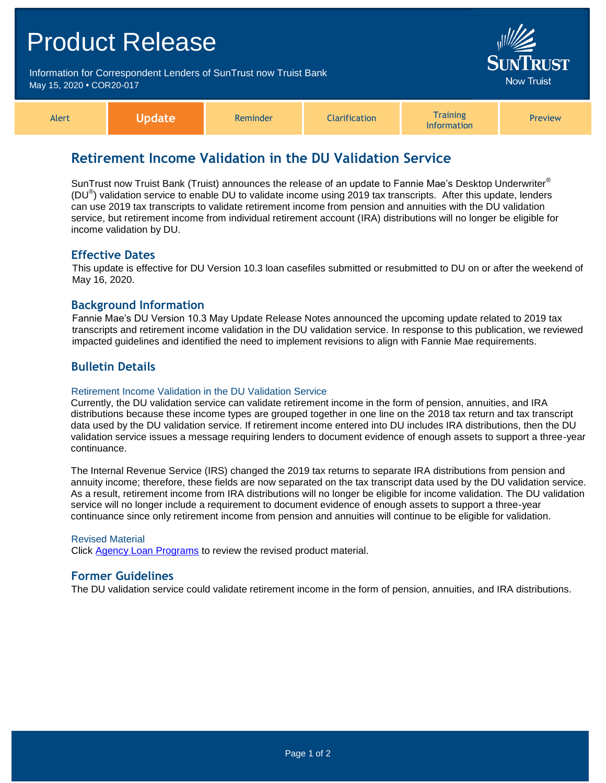# Product Release Information for Correspondent Lenders of SunTrust now Truist Bank May 15, 2020 **•** COR20-017 Alert **Update** Reminder Clarification **Training** Information Preview

# **Retirement Income Validation in the DU Validation Service**

SunTrust now Truist Bank (Truist) announces the release of an update to Fannie Mae's Desktop Underwriter<sup>®</sup> (DU<sup>®</sup>) validation service to enable DU to validate income using 2019 tax transcripts. After this update, lenders can use 2019 tax transcripts to validate retirement income from pension and annuities with the DU validation service, but retirement income from individual retirement account (IRA) distributions will no longer be eligible for income validation by DU.

### **Effective Dates**

This update is effective for DU Version 10.3 loan casefiles submitted or resubmitted to DU on or after the weekend of May 16, 2020.

## **Background Information**

Fannie Mae's DU Version 10.3 May Update Release Notes announced the upcoming update related to 2019 tax transcripts and retirement income validation in the DU validation service. In response to this publication, we reviewed impacted guidelines and identified the need to implement revisions to align with Fannie Mae requirements.

## **Bulletin Details**

#### Retirement Income Validation in the DU Validation Service

Currently, the DU validation service can validate retirement income in the form of pension, annuities, and IRA distributions because these income types are grouped together in one line on the 2018 tax return and tax transcript data used by the DU validation service. If retirement income entered into DU includes IRA distributions, then the DU validation service issues a message requiring lenders to document evidence of enough assets to support a three-year continuance.

The Internal Revenue Service (IRS) changed the 2019 tax returns to separate IRA distributions from pension and annuity income; therefore, these fields are now separated on the tax transcript data used by the DU validation service. As a result, retirement income from IRA distributions will no longer be eligible for income validation. The DU validation service will no longer include a requirement to document evidence of enough assets to support a three-year continuance since only retirement income from pension and annuities will continue to be eligible for validation.

#### Revised Material

Click [Agency Loan Programs](https://www.truistsellerguide.com/manual/cor/products/CAgency.pdf) to review the revised product material.

#### **Former Guidelines**

The DU validation service could validate retirement income in the form of pension, annuities, and IRA distributions.